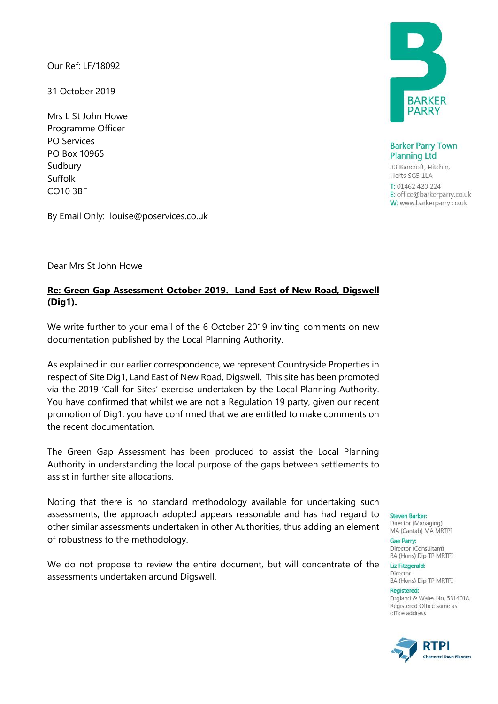Our Ref: LF/18092

31 October 2019

Mrs L St John Howe Programme Officer PO Services PO Box 10965 Sudbury Suffolk CO10 3BF

**BARKER** PARR'

**Barker Parry Town Planning Ltd** 

33 Bancroft, Hitchin, Herts SG5 1LA

T: 01462 420 224 E: office@barkerparry.co.uk W: www.barkerparry.co.uk

By Email Only: louise@poservices.co.uk

#### Dear Mrs St John Howe

# **Re: Green Gap Assessment October 2019. Land East of New Road, Digswell (Dig1).**

We write further to your email of the 6 October 2019 inviting comments on new documentation published by the Local Planning Authority.

As explained in our earlier correspondence, we represent Countryside Properties in respect of Site Dig1, Land East of New Road, Digswell. This site has been promoted via the 2019 'Call for Sites' exercise undertaken by the Local Planning Authority. You have confirmed that whilst we are not a Regulation 19 party, given our recent promotion of Dig1, you have confirmed that we are entitled to make comments on the recent documentation.

The Green Gap Assessment has been produced to assist the Local Planning Authority in understanding the local purpose of the gaps between settlements to assist in further site allocations.

Noting that there is no standard methodology available for undertaking such assessments, the approach adopted appears reasonable and has had regard to steven Barker: other similar assessments undertaken in other Authorities, thus adding an element of robustness to the methodology.

We do not propose to review the entire document, but will concentrate of the assessments undertaken around Digswell.

**Gae Parry:** 

Director (Consultant) BA (Hons) Dip TP MRTPI

Liz Fitzgerald: Director

BA (Hons) Dip TP MRTPI **Registered:** 

England & Wales No. 5314018. Registered Office same as office address

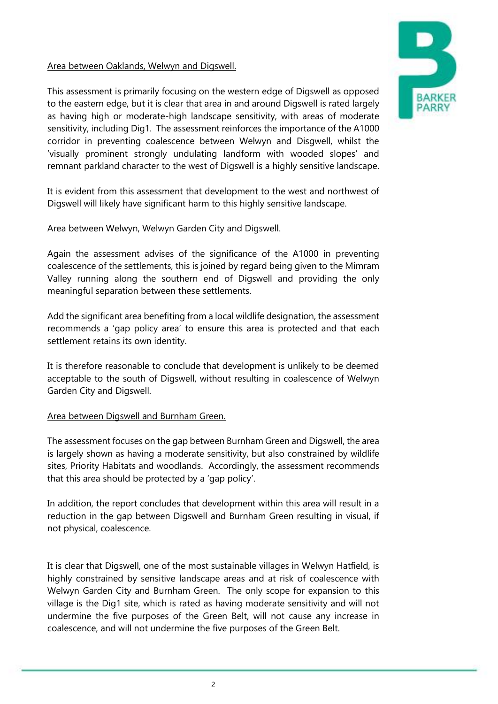## Area between Oaklands, Welwyn and Digswell.

This assessment is primarily focusing on the western edge of Digswell as opposed to the eastern edge, but it is clear that area in and around Digswell is rated largely as having high or moderate-high landscape sensitivity, with areas of moderate sensitivity, including Dig1. The assessment reinforces the importance of the A1000 corridor in preventing coalescence between Welwyn and Disgwell, whilst the 'visually prominent strongly undulating landform with wooded slopes' and remnant parkland character to the west of Digswell is a highly sensitive landscape.

It is evident from this assessment that development to the west and northwest of Digswell will likely have significant harm to this highly sensitive landscape.

### Area between Welwyn, Welwyn Garden City and Digswell.

Again the assessment advises of the significance of the A1000 in preventing coalescence of the settlements, this is joined by regard being given to the Mimram Valley running along the southern end of Digswell and providing the only meaningful separation between these settlements.

Add the significant area benefiting from a local wildlife designation, the assessment recommends a 'gap policy area' to ensure this area is protected and that each settlement retains its own identity.

It is therefore reasonable to conclude that development is unlikely to be deemed acceptable to the south of Digswell, without resulting in coalescence of Welwyn Garden City and Digswell.

### Area between Digswell and Burnham Green.

The assessment focuses on the gap between Burnham Green and Digswell, the area is largely shown as having a moderate sensitivity, but also constrained by wildlife sites, Priority Habitats and woodlands. Accordingly, the assessment recommends that this area should be protected by a 'gap policy'.

In addition, the report concludes that development within this area will result in a reduction in the gap between Digswell and Burnham Green resulting in visual, if not physical, coalescence.

It is clear that Digswell, one of the most sustainable villages in Welwyn Hatfield, is highly constrained by sensitive landscape areas and at risk of coalescence with Welwyn Garden City and Burnham Green. The only scope for expansion to this village is the Dig1 site, which is rated as having moderate sensitivity and will not undermine the five purposes of the Green Belt, will not cause any increase in coalescence, and will not undermine the five purposes of the Green Belt.